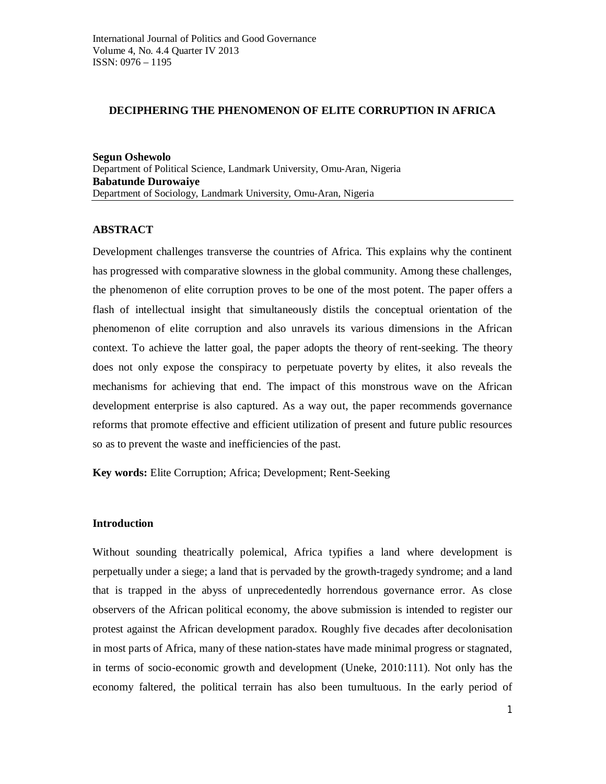### **DECIPHERING THE PHENOMENON OF ELITE CORRUPTION IN AFRICA**

**Segun Oshewolo** Department of Political Science, Landmark University, Omu-Aran, Nigeria **Babatunde Durowaiye** Department of Sociology, Landmark University, Omu-Aran, Nigeria

# **ABSTRACT**

Development challenges transverse the countries of Africa. This explains why the continent has progressed with comparative slowness in the global community. Among these challenges, the phenomenon of elite corruption proves to be one of the most potent. The paper offers a flash of intellectual insight that simultaneously distils the conceptual orientation of the phenomenon of elite corruption and also unravels its various dimensions in the African context. To achieve the latter goal, the paper adopts the theory of rent-seeking. The theory does not only expose the conspiracy to perpetuate poverty by elites, it also reveals the mechanisms for achieving that end. The impact of this monstrous wave on the African development enterprise is also captured. As a way out, the paper recommends governance reforms that promote effective and efficient utilization of present and future public resources so as to prevent the waste and inefficiencies of the past.

**Key words:** Elite Corruption; Africa; Development; Rent-Seeking

# **Introduction**

Without sounding theatrically polemical, Africa typifies a land where development is perpetually under a siege; a land that is pervaded by the growth-tragedy syndrome; and a land that is trapped in the abyss of unprecedentedly horrendous governance error. As close observers of the African political economy, the above submission is intended to register our protest against the African development paradox. Roughly five decades after decolonisation in most parts of Africa, many of these nation-states have made minimal progress or stagnated, in terms of socio-economic growth and development (Uneke, 2010:111). Not only has the economy faltered, the political terrain has also been tumultuous. In the early period of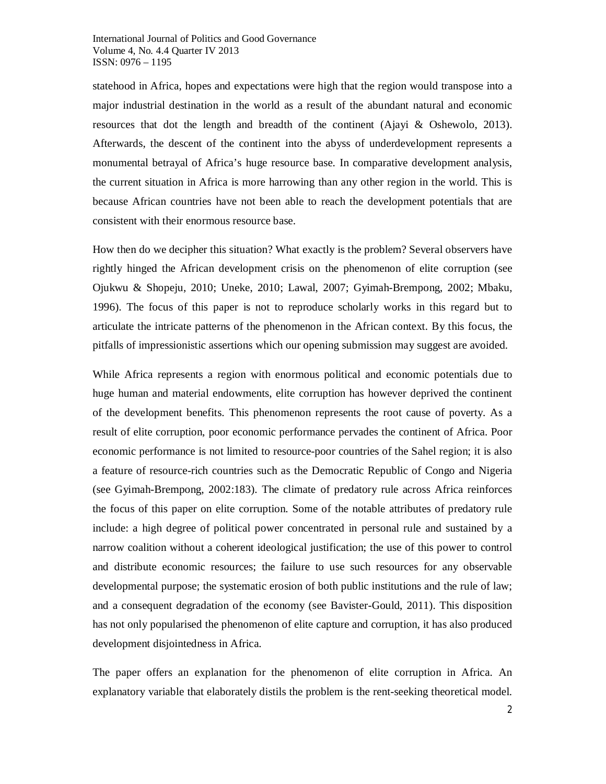statehood in Africa, hopes and expectations were high that the region would transpose into a major industrial destination in the world as a result of the abundant natural and economic resources that dot the length and breadth of the continent (Ajayi & Oshewolo, 2013). Afterwards, the descent of the continent into the abyss of underdevelopment represents a monumental betrayal of Africa's huge resource base. In comparative development analysis, the current situation in Africa is more harrowing than any other region in the world. This is because African countries have not been able to reach the development potentials that are consistent with their enormous resource base.

How then do we decipher this situation? What exactly is the problem? Several observers have rightly hinged the African development crisis on the phenomenon of elite corruption (see Ojukwu & Shopeju, 2010; Uneke, 2010; Lawal, 2007; Gyimah-Brempong, 2002; Mbaku, 1996). The focus of this paper is not to reproduce scholarly works in this regard but to articulate the intricate patterns of the phenomenon in the African context. By this focus, the pitfalls of impressionistic assertions which our opening submission may suggest are avoided.

While Africa represents a region with enormous political and economic potentials due to huge human and material endowments, elite corruption has however deprived the continent of the development benefits. This phenomenon represents the root cause of poverty. As a result of elite corruption, poor economic performance pervades the continent of Africa. Poor economic performance is not limited to resource-poor countries of the Sahel region; it is also a feature of resource-rich countries such as the Democratic Republic of Congo and Nigeria (see Gyimah-Brempong, 2002:183). The climate of predatory rule across Africa reinforces the focus of this paper on elite corruption. Some of the notable attributes of predatory rule include: a high degree of political power concentrated in personal rule and sustained by a narrow coalition without a coherent ideological justification; the use of this power to control and distribute economic resources; the failure to use such resources for any observable developmental purpose; the systematic erosion of both public institutions and the rule of law; and a consequent degradation of the economy (see Bavister-Gould, 2011). This disposition has not only popularised the phenomenon of elite capture and corruption, it has also produced development disjointedness in Africa.

The paper offers an explanation for the phenomenon of elite corruption in Africa. An explanatory variable that elaborately distils the problem is the rent-seeking theoretical model.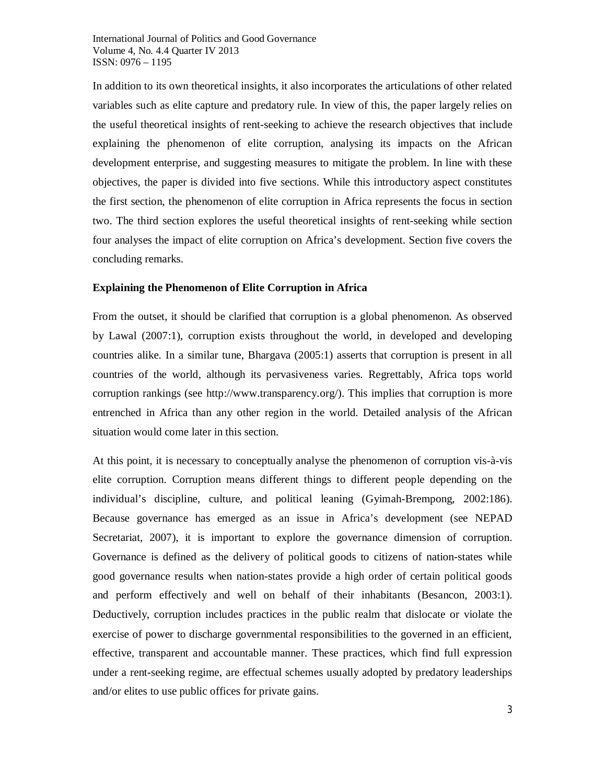In addition to its own theoretical insights, it also incorporates the articulations of other related variables such as elite capture and predatory rule. In view of this, the paper largely relies on the useful theoretical insights of rent-seeking to achieve the research objectives that include explaining the phenomenon of elite corruption, analysing its impacts on the African development enterprise, and suggesting measures to mitigate the problem. In line with these objectives, the paper is divided into five sections. While this introductory aspect constitutes the first section, the phenomenon of elite corruption in Africa represents the focus in section two. The third section explores the useful theoretical insights of rent-seeking while section four analyses the impact of elite corruption on Africa's development. Section five covers the concluding remarks.

### **Explaining the Phenomenon of Elite Corruption in Africa**

From the outset, it should be clarified that corruption is a global phenomenon. As observed by Lawal (2007:1), corruption exists throughout the world, in developed and developing countries alike. In a similar tune, Bhargava (2005:1) asserts that corruption is present in all countries of the world, although its pervasiveness varies. Regrettably, Africa tops world corruption rankings (see http://www.transparency.org/). This implies that corruption is more entrenched in Africa than any other region in the world. Detailed analysis of the African situation would come later in this section.

At this point, it is necessary to conceptually analyse the phenomenon of corruption vis-à-vis elite corruption. Corruption means different things to different people depending on the individual's discipline, culture, and political leaning (Gyimah-Brempong, 2002:186). Because governance has emerged as an issue in Africa's development (see NEPAD Secretariat, 2007), it is important to explore the governance dimension of corruption. Governance is defined as the delivery of political goods to citizens of nation-states while good governance results when nation-states provide a high order of certain political goods and perform effectively and well on behalf of their inhabitants (Besancon, 2003:1). Deductively, corruption includes practices in the public realm that dislocate or violate the exercise of power to discharge governmental responsibilities to the governed in an efficient, effective, transparent and accountable manner. These practices, which find full expression under a rent-seeking regime, are effectual schemes usually adopted by predatory leaderships and/or elites to use public offices for private gains.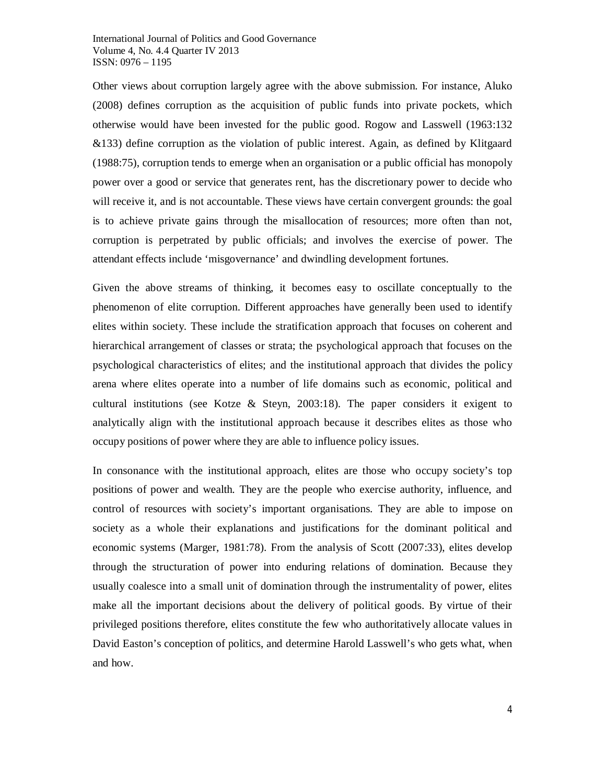Other views about corruption largely agree with the above submission. For instance, Aluko (2008) defines corruption as the acquisition of public funds into private pockets, which otherwise would have been invested for the public good. Rogow and Lasswell (1963:132 &133) define corruption as the violation of public interest. Again, as defined by Klitgaard (1988:75), corruption tends to emerge when an organisation or a public official has monopoly power over a good or service that generates rent, has the discretionary power to decide who will receive it, and is not accountable. These views have certain convergent grounds: the goal is to achieve private gains through the misallocation of resources; more often than not, corruption is perpetrated by public officials; and involves the exercise of power. The attendant effects include 'misgovernance' and dwindling development fortunes.

Given the above streams of thinking, it becomes easy to oscillate conceptually to the phenomenon of elite corruption. Different approaches have generally been used to identify elites within society. These include the stratification approach that focuses on coherent and hierarchical arrangement of classes or strata; the psychological approach that focuses on the psychological characteristics of elites; and the institutional approach that divides the policy arena where elites operate into a number of life domains such as economic, political and cultural institutions (see Kotze & Steyn, 2003:18). The paper considers it exigent to analytically align with the institutional approach because it describes elites as those who occupy positions of power where they are able to influence policy issues.

In consonance with the institutional approach, elites are those who occupy society's top positions of power and wealth. They are the people who exercise authority, influence, and control of resources with society's important organisations. They are able to impose on society as a whole their explanations and justifications for the dominant political and economic systems (Marger, 1981:78). From the analysis of Scott (2007:33), elites develop through the structuration of power into enduring relations of domination. Because they usually coalesce into a small unit of domination through the instrumentality of power, elites make all the important decisions about the delivery of political goods. By virtue of their privileged positions therefore, elites constitute the few who authoritatively allocate values in David Easton's conception of politics, and determine Harold Lasswell's who gets what, when and how.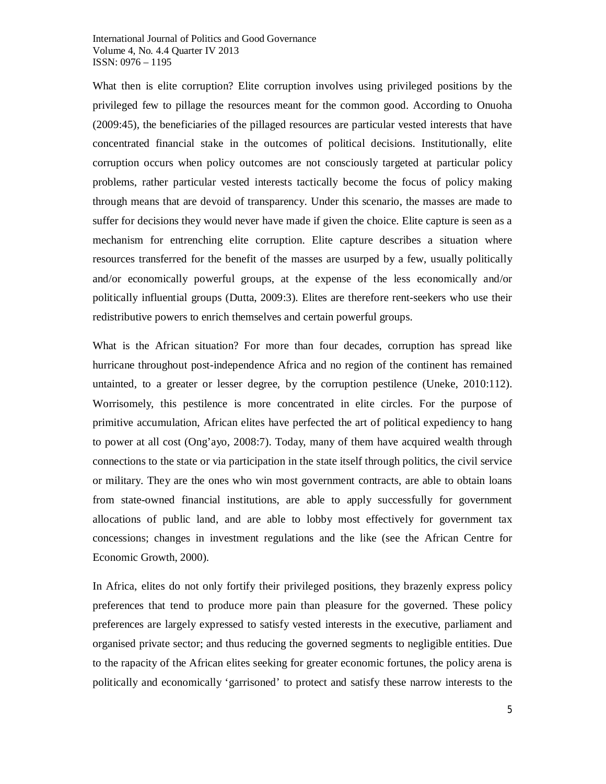What then is elite corruption? Elite corruption involves using privileged positions by the privileged few to pillage the resources meant for the common good. According to Onuoha (2009:45), the beneficiaries of the pillaged resources are particular vested interests that have concentrated financial stake in the outcomes of political decisions. Institutionally, elite corruption occurs when policy outcomes are not consciously targeted at particular policy problems, rather particular vested interests tactically become the focus of policy making through means that are devoid of transparency. Under this scenario, the masses are made to suffer for decisions they would never have made if given the choice. Elite capture is seen as a mechanism for entrenching elite corruption. Elite capture describes a situation where resources transferred for the benefit of the masses are usurped by a few, usually politically and/or economically powerful groups, at the expense of the less economically and/or politically influential groups (Dutta, 2009:3). Elites are therefore rent-seekers who use their redistributive powers to enrich themselves and certain powerful groups.

What is the African situation? For more than four decades, corruption has spread like hurricane throughout post-independence Africa and no region of the continent has remained untainted, to a greater or lesser degree, by the corruption pestilence (Uneke, 2010:112). Worrisomely, this pestilence is more concentrated in elite circles. For the purpose of primitive accumulation, African elites have perfected the art of political expediency to hang to power at all cost (Ong'ayo, 2008:7). Today, many of them have acquired wealth through connections to the state or via participation in the state itself through politics, the civil service or military. They are the ones who win most government contracts, are able to obtain loans from state-owned financial institutions, are able to apply successfully for government allocations of public land, and are able to lobby most effectively for government tax concessions; changes in investment regulations and the like (see the African Centre for Economic Growth, 2000).

In Africa, elites do not only fortify their privileged positions, they brazenly express policy preferences that tend to produce more pain than pleasure for the governed. These policy preferences are largely expressed to satisfy vested interests in the executive, parliament and organised private sector; and thus reducing the governed segments to negligible entities. Due to the rapacity of the African elites seeking for greater economic fortunes, the policy arena is politically and economically 'garrisoned' to protect and satisfy these narrow interests to the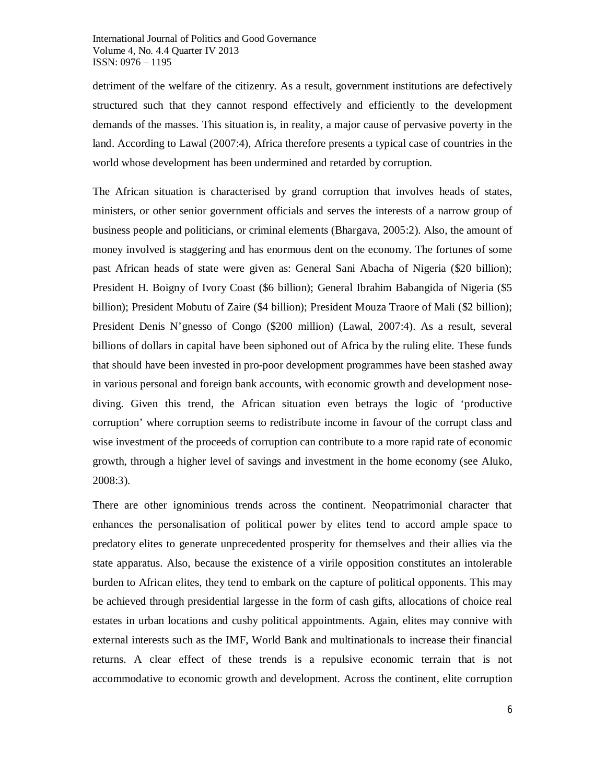detriment of the welfare of the citizenry. As a result, government institutions are defectively structured such that they cannot respond effectively and efficiently to the development demands of the masses. This situation is, in reality, a major cause of pervasive poverty in the land. According to Lawal (2007:4), Africa therefore presents a typical case of countries in the world whose development has been undermined and retarded by corruption.

The African situation is characterised by grand corruption that involves heads of states, ministers, or other senior government officials and serves the interests of a narrow group of business people and politicians, or criminal elements (Bhargava, 2005:2). Also, the amount of money involved is staggering and has enormous dent on the economy. The fortunes of some past African heads of state were given as: General Sani Abacha of Nigeria (\$20 billion); President H. Boigny of Ivory Coast (\$6 billion); General Ibrahim Babangida of Nigeria (\$5 billion); President Mobutu of Zaire (\$4 billion); President Mouza Traore of Mali (\$2 billion); President Denis N'gnesso of Congo (\$200 million) (Lawal, 2007:4). As a result, several billions of dollars in capital have been siphoned out of Africa by the ruling elite. These funds that should have been invested in pro-poor development programmes have been stashed away in various personal and foreign bank accounts, with economic growth and development nosediving. Given this trend, the African situation even betrays the logic of 'productive corruption' where corruption seems to redistribute income in favour of the corrupt class and wise investment of the proceeds of corruption can contribute to a more rapid rate of economic growth, through a higher level of savings and investment in the home economy (see Aluko, 2008:3).

There are other ignominious trends across the continent. Neopatrimonial character that enhances the personalisation of political power by elites tend to accord ample space to predatory elites to generate unprecedented prosperity for themselves and their allies via the state apparatus. Also, because the existence of a virile opposition constitutes an intolerable burden to African elites, they tend to embark on the capture of political opponents. This may be achieved through presidential largesse in the form of cash gifts, allocations of choice real estates in urban locations and cushy political appointments. Again, elites may connive with external interests such as the IMF, World Bank and multinationals to increase their financial returns. A clear effect of these trends is a repulsive economic terrain that is not accommodative to economic growth and development. Across the continent, elite corruption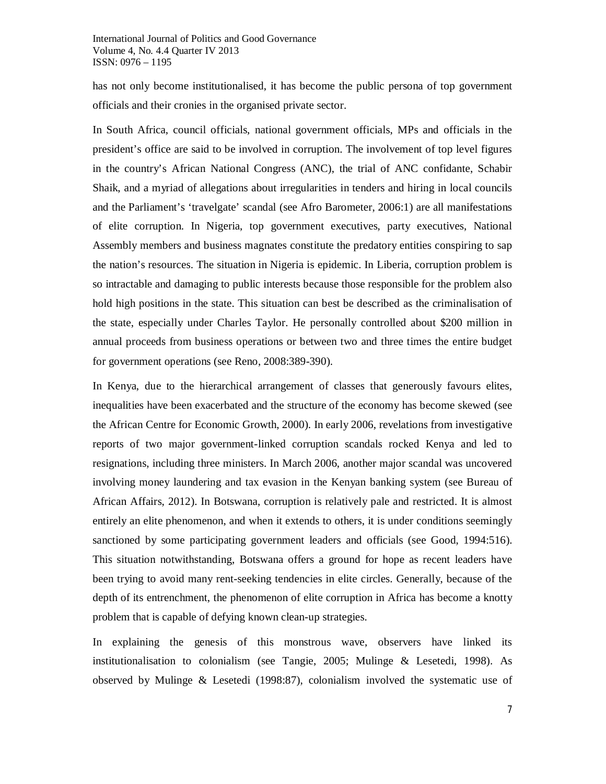has not only become institutionalised, it has become the public persona of top government officials and their cronies in the organised private sector.

In South Africa, council officials, national government officials, MPs and officials in the president's office are said to be involved in corruption. The involvement of top level figures in the country's African National Congress (ANC), the trial of ANC confidante, Schabir Shaik, and a myriad of allegations about irregularities in tenders and hiring in local councils and the Parliament's 'travelgate' scandal (see Afro Barometer, 2006:1) are all manifestations of elite corruption. In Nigeria, top government executives, party executives, National Assembly members and business magnates constitute the predatory entities conspiring to sap the nation's resources. The situation in Nigeria is epidemic. In Liberia, corruption problem is so intractable and damaging to public interests because those responsible for the problem also hold high positions in the state. This situation can best be described as the criminalisation of the state, especially under Charles Taylor. He personally controlled about \$200 million in annual proceeds from business operations or between two and three times the entire budget for government operations (see Reno, 2008:389-390).

In Kenya, due to the hierarchical arrangement of classes that generously favours elites, inequalities have been exacerbated and the structure of the economy has become skewed (see the African Centre for Economic Growth, 2000). In early 2006, revelations from investigative reports of two major government-linked corruption scandals rocked Kenya and led to resignations, including three ministers. In March 2006, another major scandal was uncovered involving money laundering and tax evasion in the Kenyan banking system (see Bureau of African Affairs, 2012). In Botswana, corruption is relatively pale and restricted. It is almost entirely an elite phenomenon, and when it extends to others, it is under conditions seemingly sanctioned by some participating government leaders and officials (see Good, 1994:516). This situation notwithstanding, Botswana offers a ground for hope as recent leaders have been trying to avoid many rent-seeking tendencies in elite circles. Generally, because of the depth of its entrenchment, the phenomenon of elite corruption in Africa has become a knotty problem that is capable of defying known clean-up strategies.

In explaining the genesis of this monstrous wave, observers have linked its institutionalisation to colonialism (see Tangie, 2005; Mulinge & Lesetedi, 1998). As observed by Mulinge & Lesetedi (1998:87), colonialism involved the systematic use of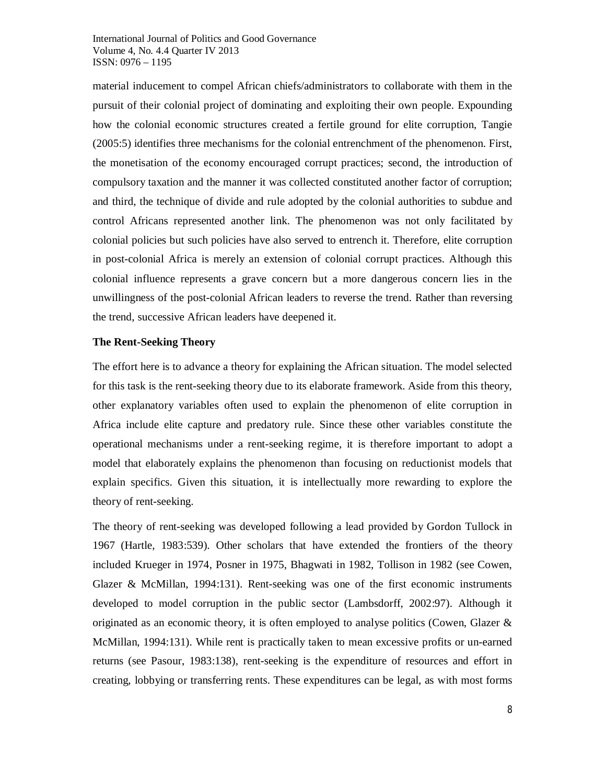material inducement to compel African chiefs/administrators to collaborate with them in the pursuit of their colonial project of dominating and exploiting their own people. Expounding how the colonial economic structures created a fertile ground for elite corruption, Tangie (2005:5) identifies three mechanisms for the colonial entrenchment of the phenomenon. First, the monetisation of the economy encouraged corrupt practices; second, the introduction of compulsory taxation and the manner it was collected constituted another factor of corruption; and third, the technique of divide and rule adopted by the colonial authorities to subdue and control Africans represented another link. The phenomenon was not only facilitated by colonial policies but such policies have also served to entrench it. Therefore, elite corruption in post-colonial Africa is merely an extension of colonial corrupt practices. Although this colonial influence represents a grave concern but a more dangerous concern lies in the unwillingness of the post-colonial African leaders to reverse the trend. Rather than reversing the trend, successive African leaders have deepened it.

#### **The Rent-Seeking Theory**

The effort here is to advance a theory for explaining the African situation. The model selected for this task is the rent-seeking theory due to its elaborate framework. Aside from this theory, other explanatory variables often used to explain the phenomenon of elite corruption in Africa include elite capture and predatory rule. Since these other variables constitute the operational mechanisms under a rent-seeking regime, it is therefore important to adopt a model that elaborately explains the phenomenon than focusing on reductionist models that explain specifics. Given this situation, it is intellectually more rewarding to explore the theory of rent-seeking.

The theory of rent-seeking was developed following a lead provided by Gordon Tullock in 1967 (Hartle, 1983:539). Other scholars that have extended the frontiers of the theory included Krueger in 1974, Posner in 1975, Bhagwati in 1982, Tollison in 1982 (see Cowen, Glazer & McMillan, 1994:131). Rent-seeking was one of the first economic instruments developed to model corruption in the public sector (Lambsdorff, 2002:97). Although it originated as an economic theory, it is often employed to analyse politics (Cowen, Glazer  $\&$ McMillan, 1994:131). While rent is practically taken to mean excessive profits or un-earned returns (see Pasour, 1983:138), rent-seeking is the expenditure of resources and effort in creating, lobbying or transferring rents. These expenditures can be legal, as with most forms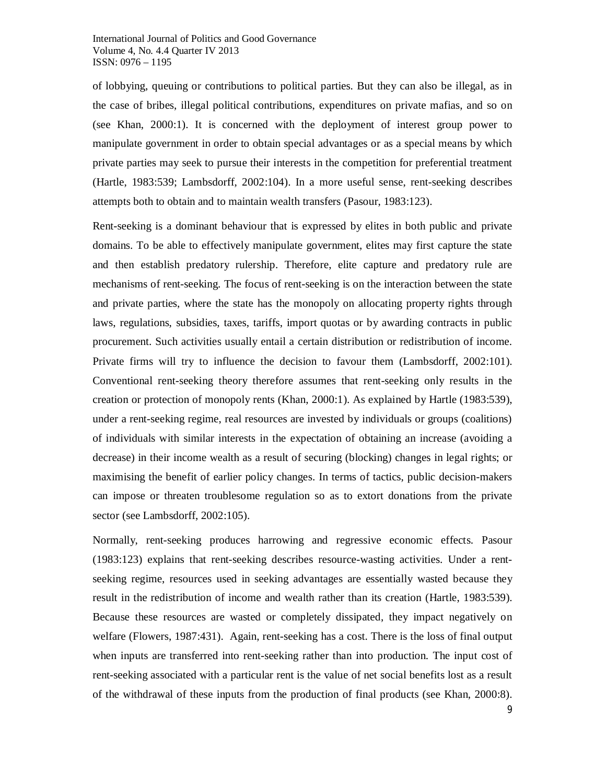of lobbying, queuing or contributions to political parties. But they can also be illegal, as in the case of bribes, illegal political contributions, expenditures on private mafias, and so on (see Khan, 2000:1). It is concerned with the deployment of interest group power to manipulate government in order to obtain special advantages or as a special means by which private parties may seek to pursue their interests in the competition for preferential treatment (Hartle, 1983:539; Lambsdorff, 2002:104). In a more useful sense, rent-seeking describes attempts both to obtain and to maintain wealth transfers (Pasour, 1983:123).

Rent-seeking is a dominant behaviour that is expressed by elites in both public and private domains. To be able to effectively manipulate government, elites may first capture the state and then establish predatory rulership. Therefore, elite capture and predatory rule are mechanisms of rent-seeking. The focus of rent-seeking is on the interaction between the state and private parties, where the state has the monopoly on allocating property rights through laws, regulations, subsidies, taxes, tariffs, import quotas or by awarding contracts in public procurement. Such activities usually entail a certain distribution or redistribution of income. Private firms will try to influence the decision to favour them (Lambsdorff, 2002:101). Conventional rent-seeking theory therefore assumes that rent-seeking only results in the creation or protection of monopoly rents (Khan, 2000:1). As explained by Hartle (1983:539), under a rent-seeking regime, real resources are invested by individuals or groups (coalitions) of individuals with similar interests in the expectation of obtaining an increase (avoiding a decrease) in their income wealth as a result of securing (blocking) changes in legal rights; or maximising the benefit of earlier policy changes. In terms of tactics, public decision-makers can impose or threaten troublesome regulation so as to extort donations from the private sector (see Lambsdorff, 2002:105).

Normally, rent-seeking produces harrowing and regressive economic effects. Pasour (1983:123) explains that rent-seeking describes resource-wasting activities. Under a rentseeking regime, resources used in seeking advantages are essentially wasted because they result in the redistribution of income and wealth rather than its creation (Hartle, 1983:539). Because these resources are wasted or completely dissipated, they impact negatively on welfare (Flowers, 1987:431). Again, rent-seeking has a cost. There is the loss of final output when inputs are transferred into rent-seeking rather than into production. The input cost of rent-seeking associated with a particular rent is the value of net social benefits lost as a result of the withdrawal of these inputs from the production of final products (see Khan, 2000:8).

9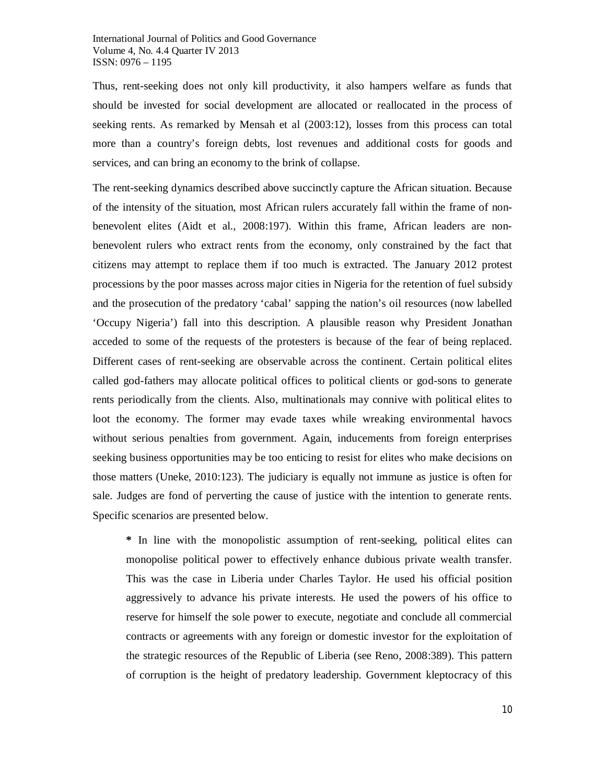Thus, rent-seeking does not only kill productivity, it also hampers welfare as funds that should be invested for social development are allocated or reallocated in the process of seeking rents. As remarked by Mensah et al (2003:12), losses from this process can total more than a country's foreign debts, lost revenues and additional costs for goods and services, and can bring an economy to the brink of collapse.

The rent-seeking dynamics described above succinctly capture the African situation. Because of the intensity of the situation, most African rulers accurately fall within the frame of nonbenevolent elites (Aidt et al., 2008:197). Within this frame, African leaders are nonbenevolent rulers who extract rents from the economy, only constrained by the fact that citizens may attempt to replace them if too much is extracted. The January 2012 protest processions by the poor masses across major cities in Nigeria for the retention of fuel subsidy and the prosecution of the predatory 'cabal' sapping the nation's oil resources (now labelled 'Occupy Nigeria') fall into this description. A plausible reason why President Jonathan acceded to some of the requests of the protesters is because of the fear of being replaced. Different cases of rent-seeking are observable across the continent. Certain political elites called god-fathers may allocate political offices to political clients or god-sons to generate rents periodically from the clients. Also, multinationals may connive with political elites to loot the economy. The former may evade taxes while wreaking environmental havocs without serious penalties from government. Again, inducements from foreign enterprises seeking business opportunities may be too enticing to resist for elites who make decisions on those matters (Uneke, 2010:123). The judiciary is equally not immune as justice is often for sale. Judges are fond of perverting the cause of justice with the intention to generate rents. Specific scenarios are presented below.

**\*** In line with the monopolistic assumption of rent-seeking, political elites can monopolise political power to effectively enhance dubious private wealth transfer. This was the case in Liberia under Charles Taylor. He used his official position aggressively to advance his private interests. He used the powers of his office to reserve for himself the sole power to execute, negotiate and conclude all commercial contracts or agreements with any foreign or domestic investor for the exploitation of the strategic resources of the Republic of Liberia (see Reno, 2008:389). This pattern of corruption is the height of predatory leadership. Government kleptocracy of this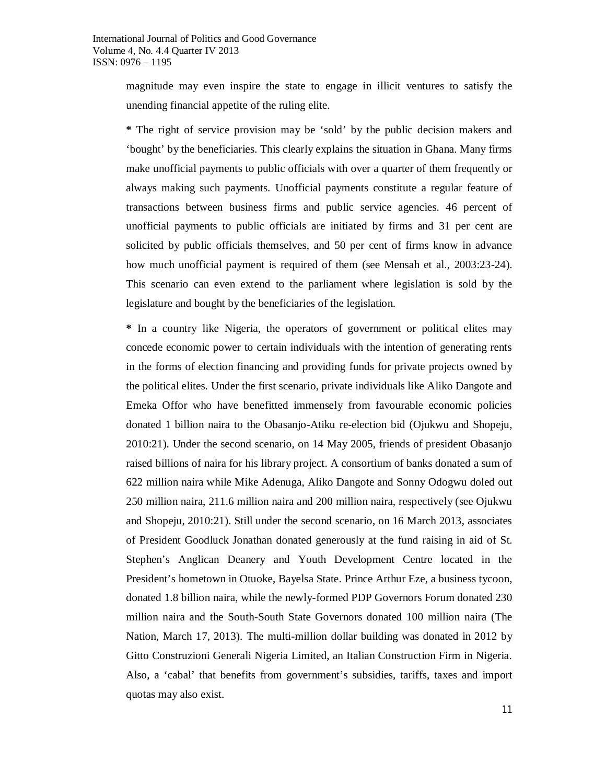magnitude may even inspire the state to engage in illicit ventures to satisfy the unending financial appetite of the ruling elite.

**\*** The right of service provision may be 'sold' by the public decision makers and 'bought' by the beneficiaries. This clearly explains the situation in Ghana. Many firms make unofficial payments to public officials with over a quarter of them frequently or always making such payments. Unofficial payments constitute a regular feature of transactions between business firms and public service agencies. 46 percent of unofficial payments to public officials are initiated by firms and 31 per cent are solicited by public officials themselves, and 50 per cent of firms know in advance how much unofficial payment is required of them (see Mensah et al., 2003:23-24). This scenario can even extend to the parliament where legislation is sold by the legislature and bought by the beneficiaries of the legislation.

**\*** In a country like Nigeria, the operators of government or political elites may concede economic power to certain individuals with the intention of generating rents in the forms of election financing and providing funds for private projects owned by the political elites. Under the first scenario, private individuals like Aliko Dangote and Emeka Offor who have benefitted immensely from favourable economic policies donated 1 billion naira to the Obasanjo-Atiku re-election bid (Ojukwu and Shopeju, 2010:21). Under the second scenario, on 14 May 2005, friends of president Obasanjo raised billions of naira for his library project. A consortium of banks donated a sum of 622 million naira while Mike Adenuga, Aliko Dangote and Sonny Odogwu doled out 250 million naira, 211.6 million naira and 200 million naira, respectively (see Ojukwu and Shopeju, 2010:21). Still under the second scenario, on 16 March 2013, associates of President Goodluck Jonathan donated generously at the fund raising in aid of St. Stephen's Anglican Deanery and Youth Development Centre located in the President's hometown in Otuoke, Bayelsa State. Prince Arthur Eze, a business tycoon, donated 1.8 billion naira, while the newly-formed PDP Governors Forum donated 230 million naira and the South-South State Governors donated 100 million naira (The Nation, March 17, 2013). The multi-million dollar building was donated in 2012 by Gitto Construzioni Generali Nigeria Limited, an Italian Construction Firm in Nigeria. Also, a 'cabal' that benefits from government's subsidies, tariffs, taxes and import quotas may also exist.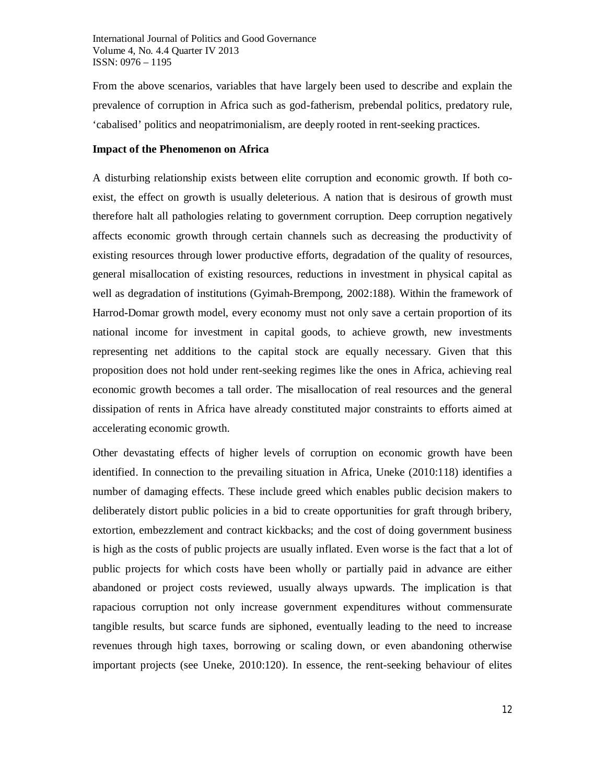From the above scenarios, variables that have largely been used to describe and explain the prevalence of corruption in Africa such as god-fatherism, prebendal politics, predatory rule, 'cabalised' politics and neopatrimonialism, are deeply rooted in rent-seeking practices.

## **Impact of the Phenomenon on Africa**

A disturbing relationship exists between elite corruption and economic growth. If both coexist, the effect on growth is usually deleterious. A nation that is desirous of growth must therefore halt all pathologies relating to government corruption. Deep corruption negatively affects economic growth through certain channels such as decreasing the productivity of existing resources through lower productive efforts, degradation of the quality of resources, general misallocation of existing resources, reductions in investment in physical capital as well as degradation of institutions (Gyimah-Brempong, 2002:188). Within the framework of Harrod-Domar growth model, every economy must not only save a certain proportion of its national income for investment in capital goods, to achieve growth, new investments representing net additions to the capital stock are equally necessary. Given that this proposition does not hold under rent-seeking regimes like the ones in Africa, achieving real economic growth becomes a tall order. The misallocation of real resources and the general dissipation of rents in Africa have already constituted major constraints to efforts aimed at accelerating economic growth.

Other devastating effects of higher levels of corruption on economic growth have been identified. In connection to the prevailing situation in Africa, Uneke (2010:118) identifies a number of damaging effects. These include greed which enables public decision makers to deliberately distort public policies in a bid to create opportunities for graft through bribery, extortion, embezzlement and contract kickbacks; and the cost of doing government business is high as the costs of public projects are usually inflated. Even worse is the fact that a lot of public projects for which costs have been wholly or partially paid in advance are either abandoned or project costs reviewed, usually always upwards. The implication is that rapacious corruption not only increase government expenditures without commensurate tangible results, but scarce funds are siphoned, eventually leading to the need to increase revenues through high taxes, borrowing or scaling down, or even abandoning otherwise important projects (see Uneke, 2010:120). In essence, the rent-seeking behaviour of elites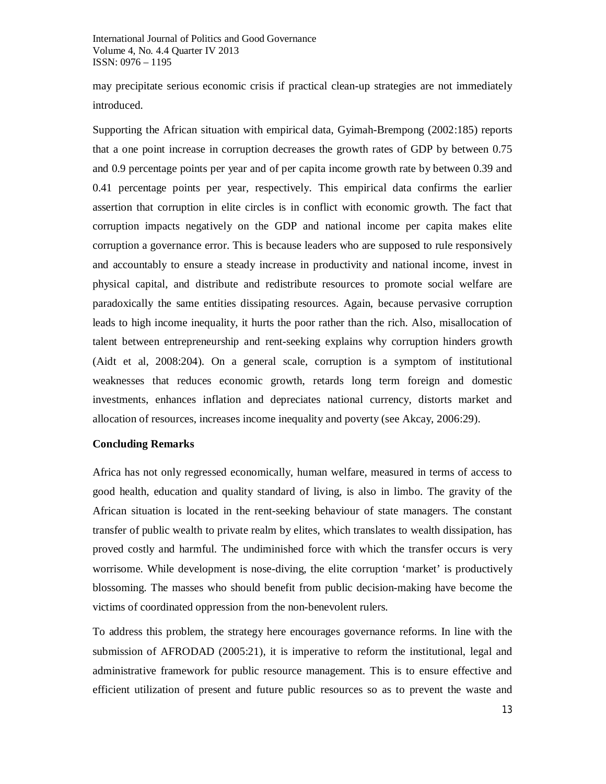may precipitate serious economic crisis if practical clean-up strategies are not immediately introduced.

Supporting the African situation with empirical data, Gyimah-Brempong (2002:185) reports that a one point increase in corruption decreases the growth rates of GDP by between 0.75 and 0.9 percentage points per year and of per capita income growth rate by between 0.39 and 0.41 percentage points per year, respectively. This empirical data confirms the earlier assertion that corruption in elite circles is in conflict with economic growth. The fact that corruption impacts negatively on the GDP and national income per capita makes elite corruption a governance error. This is because leaders who are supposed to rule responsively and accountably to ensure a steady increase in productivity and national income, invest in physical capital, and distribute and redistribute resources to promote social welfare are paradoxically the same entities dissipating resources. Again, because pervasive corruption leads to high income inequality, it hurts the poor rather than the rich. Also, misallocation of talent between entrepreneurship and rent-seeking explains why corruption hinders growth (Aidt et al, 2008:204). On a general scale, corruption is a symptom of institutional weaknesses that reduces economic growth, retards long term foreign and domestic investments, enhances inflation and depreciates national currency, distorts market and allocation of resources, increases income inequality and poverty (see Akcay, 2006:29).

#### **Concluding Remarks**

Africa has not only regressed economically, human welfare, measured in terms of access to good health, education and quality standard of living, is also in limbo. The gravity of the African situation is located in the rent-seeking behaviour of state managers. The constant transfer of public wealth to private realm by elites, which translates to wealth dissipation, has proved costly and harmful. The undiminished force with which the transfer occurs is very worrisome. While development is nose-diving, the elite corruption 'market' is productively blossoming. The masses who should benefit from public decision-making have become the victims of coordinated oppression from the non-benevolent rulers.

To address this problem, the strategy here encourages governance reforms. In line with the submission of AFRODAD (2005:21), it is imperative to reform the institutional, legal and administrative framework for public resource management. This is to ensure effective and efficient utilization of present and future public resources so as to prevent the waste and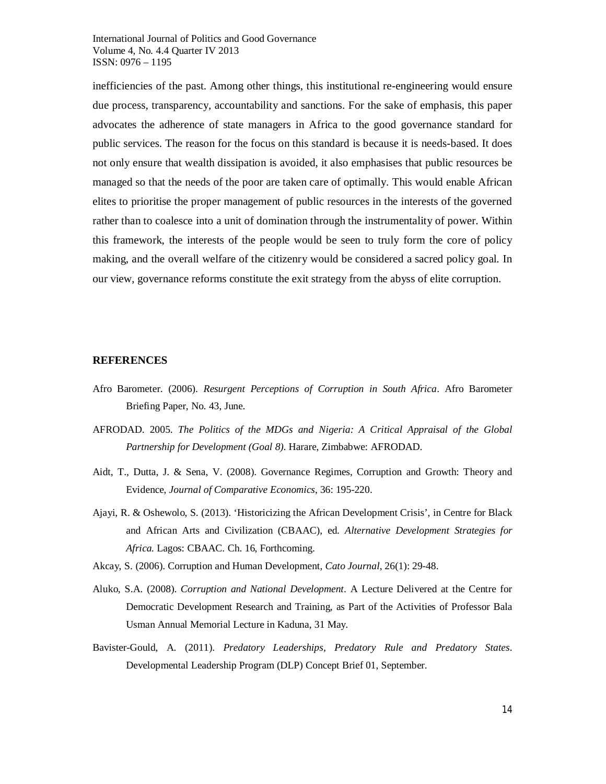inefficiencies of the past. Among other things, this institutional re-engineering would ensure due process, transparency, accountability and sanctions. For the sake of emphasis, this paper advocates the adherence of state managers in Africa to the good governance standard for public services. The reason for the focus on this standard is because it is needs-based. It does not only ensure that wealth dissipation is avoided, it also emphasises that public resources be managed so that the needs of the poor are taken care of optimally. This would enable African elites to prioritise the proper management of public resources in the interests of the governed rather than to coalesce into a unit of domination through the instrumentality of power. Within this framework, the interests of the people would be seen to truly form the core of policy making, and the overall welfare of the citizenry would be considered a sacred policy goal. In our view, governance reforms constitute the exit strategy from the abyss of elite corruption.

#### **REFERENCES**

- Afro Barometer. (2006). *Resurgent Perceptions of Corruption in South Africa*. Afro Barometer Briefing Paper, No. 43, June.
- AFRODAD. 2005. *The Politics of the MDGs and Nigeria: A Critical Appraisal of the Global Partnership for Development (Goal 8).* Harare, Zimbabwe: AFRODAD.
- Aidt, T., Dutta, J. & Sena, V. (2008). Governance Regimes, Corruption and Growth: Theory and Evidence, *Journal of Comparative Economics*, 36: 195-220.
- Ajayi, R. & Oshewolo, S. (2013). 'Historicizing the African Development Crisis', in Centre for Black and African Arts and Civilization (CBAAC), ed. *Alternative Development Strategies for Africa.* Lagos: CBAAC. Ch. 16, Forthcoming.
- Akcay, S. (2006). Corruption and Human Development, *Cato Journal*, 26(1): 29-48.
- Aluko, S.A. (2008). *Corruption and National Development*. A Lecture Delivered at the Centre for Democratic Development Research and Training, as Part of the Activities of Professor Bala Usman Annual Memorial Lecture in Kaduna, 31 May.
- Bavister-Gould, A. (2011). *Predatory Leaderships, Predatory Rule and Predatory States*. Developmental Leadership Program (DLP) Concept Brief 01, September.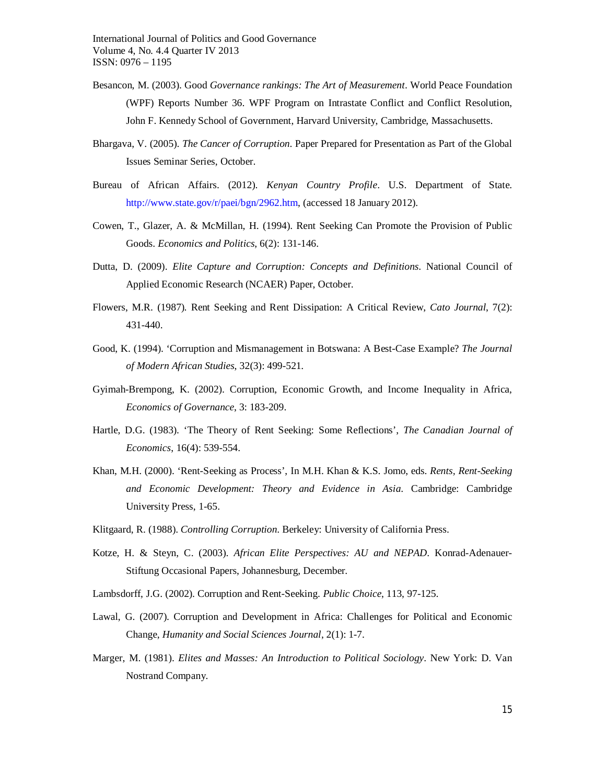- Besancon, M. (2003). Good *Governance rankings: The Art of Measurement*. World Peace Foundation (WPF) Reports Number 36. WPF Program on Intrastate Conflict and Conflict Resolution, John F. Kennedy School of Government, Harvard University, Cambridge, Massachusetts.
- Bhargava, V. (2005). *The Cancer of Corruption*. Paper Prepared for Presentation as Part of the Global Issues Seminar Series, October.
- Bureau of African Affairs. (2012). *Kenyan Country Profile*. U.S. Department of State. http://www.state.gov/r/paei/bgn/2962.htm, (accessed 18 January 2012).
- Cowen, T., Glazer, A. & McMillan, H. (1994). Rent Seeking Can Promote the Provision of Public Goods. *Economics and Politics*, 6(2): 131-146.
- Dutta, D. (2009). *Elite Capture and Corruption: Concepts and Definitions*. National Council of Applied Economic Research (NCAER) Paper, October.
- Flowers, M.R. (1987). Rent Seeking and Rent Dissipation: A Critical Review, *Cato Journal*, 7(2): 431-440.
- Good, K. (1994). 'Corruption and Mismanagement in Botswana: A Best-Case Example? *The Journal of Modern African Studies*, 32(3): 499-521.
- Gyimah-Brempong, K. (2002). Corruption, Economic Growth, and Income Inequality in Africa, *Economics of Governance*, 3: 183-209.
- Hartle, D.G. (1983). 'The Theory of Rent Seeking: Some Reflections', *The Canadian Journal of Economics*, 16(4): 539-554.
- Khan, M.H. (2000). 'Rent-Seeking as Process', In M.H. Khan & K.S. Jomo, eds. *Rents, Rent-Seeking and Economic Development: Theory and Evidence in Asia*. Cambridge: Cambridge University Press, 1-65.
- Klitgaard, R. (1988). *Controlling Corruption*. Berkeley: University of California Press.
- Kotze, H. & Steyn, C. (2003). *African Elite Perspectives: AU and NEPAD*. Konrad-Adenauer-Stiftung Occasional Papers, Johannesburg, December.
- Lambsdorff, J.G. (2002). Corruption and Rent-Seeking. *Public Choice*, 113, 97-125.
- Lawal, G. (2007). Corruption and Development in Africa: Challenges for Political and Economic Change, *Humanity and Social Sciences Journal*, 2(1): 1-7.
- Marger, M. (1981). *Elites and Masses: An Introduction to Political Sociology*. New York: D. Van Nostrand Company.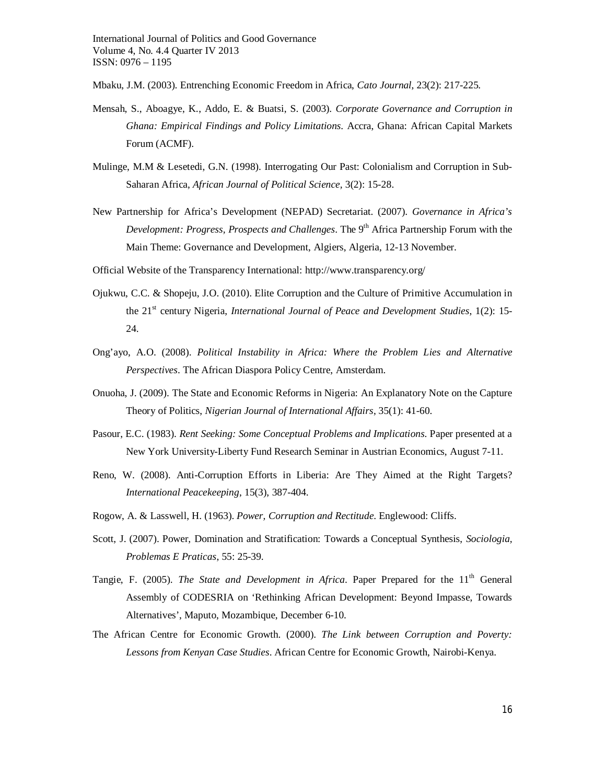Mbaku, J.M. (2003). Entrenching Economic Freedom in Africa, *Cato Journal*, 23(2): 217-225.

- Mensah, S., Aboagye, K., Addo, E. & Buatsi, S. (2003). *Corporate Governance and Corruption in Ghana: Empirical Findings and Policy Limitations*. Accra, Ghana: African Capital Markets Forum (ACMF).
- Mulinge, M.M & Lesetedi, G.N. (1998). Interrogating Our Past: Colonialism and Corruption in Sub-Saharan Africa, *African Journal of Political Science,* 3(2): 15-28.
- New Partnership for Africa's Development (NEPAD) Secretariat. (2007). *Governance in Africa's Development: Progress, Prospects and Challenges.* The 9<sup>th</sup> Africa Partnership Forum with the Main Theme: Governance and Development, Algiers, Algeria, 12-13 November.
- Official Website of the Transparency International: http://www.transparency.org/
- Ojukwu, C.C. & Shopeju, J.O. (2010). Elite Corruption and the Culture of Primitive Accumulation in the 21<sup>st</sup> century Nigeria, *International Journal of Peace and Development Studies*, 1(2): 15-24.
- Ong'ayo, A.O. (2008). *Political Instability in Africa: Where the Problem Lies and Alternative Perspectives*. The African Diaspora Policy Centre, Amsterdam.
- Onuoha, J. (2009). The State and Economic Reforms in Nigeria: An Explanatory Note on the Capture Theory of Politics, *Nigerian Journal of International Affairs*, 35(1): 41-60.
- Pasour, E.C. (1983). *Rent Seeking: Some Conceptual Problems and Implications*. Paper presented at a New York University-Liberty Fund Research Seminar in Austrian Economics, August 7-11.
- Reno, W. (2008). Anti-Corruption Efforts in Liberia: Are They Aimed at the Right Targets? *International Peacekeeping*, 15(3), 387-404.
- Rogow, A. & Lasswell, H. (1963). *Power, Corruption and Rectitude*. Englewood: Cliffs.
- Scott, J. (2007). Power, Domination and Stratification: Towards a Conceptual Synthesis, *Sociologia, Problemas E Praticas*, 55: 25-39.
- Tangie, F. (2005). *The State and Development in Africa*. Paper Prepared for the 11<sup>th</sup> General Assembly of CODESRIA on 'Rethinking African Development: Beyond Impasse, Towards Alternatives', Maputo, Mozambique, December 6-10.
- The African Centre for Economic Growth. (2000). *The Link between Corruption and Poverty: Lessons from Kenyan Case Studies*. African Centre for Economic Growth, Nairobi-Kenya.